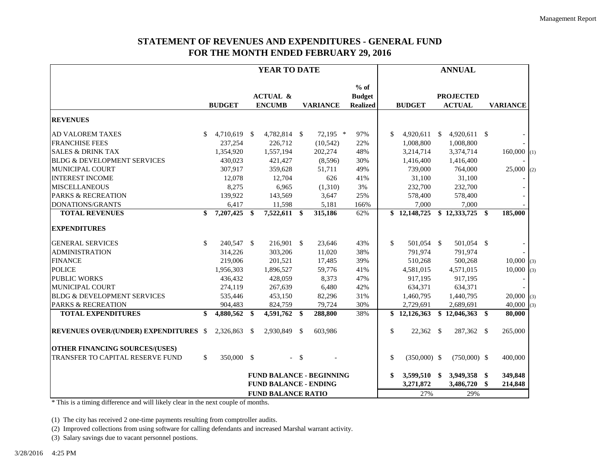## **STATEMENT OF REVENUES AND EXPENDITURES - GENERAL FUND FOR THE MONTH ENDED FEBRUARY 29, 2016**

|                                              |                              |               | <b>YEAR TO DATE</b> |                                      |        | <b>ANNUAL</b>   |                                            |               |                |           |                                   |         |                 |     |
|----------------------------------------------|------------------------------|---------------|---------------------|--------------------------------------|--------|-----------------|--------------------------------------------|---------------|----------------|-----------|-----------------------------------|---------|-----------------|-----|
|                                              |                              | <b>BUDGET</b> |                     | <b>ACTUAL &amp;</b><br><b>ENCUMB</b> |        | <b>VARIANCE</b> | $%$ of<br><b>Budget</b><br><b>Realized</b> |               | <b>BUDGET</b>  |           | <b>PROJECTED</b><br><b>ACTUAL</b> |         | <b>VARIANCE</b> |     |
| <b>REVENUES</b>                              |                              |               |                     |                                      |        |                 |                                            |               |                |           |                                   |         |                 |     |
| <b>AD VALOREM TAXES</b>                      | \$.                          | 4,710,619 \$  |                     | 4,782,814 \$                         |        | $72,195$ *      | 97%                                        | <sup>\$</sup> | $4,920,611$ \$ |           | $4,920,611$ \$                    |         |                 |     |
| <b>FRANCHISE FEES</b>                        |                              | 237,254       |                     | 226,712                              |        | (10, 542)       | 22%                                        |               | 1,008,800      |           | 1,008,800                         |         |                 |     |
| <b>SALES &amp; DRINK TAX</b>                 |                              | 1,354,920     |                     | 1,557,194                            |        | 202,274         | 48%                                        |               | 3,214,714      |           | 3,374,714                         |         | $160,000$ (1)   |     |
| <b>BLDG &amp; DEVELOPMENT SERVICES</b>       |                              | 430,023       |                     | 421,427                              |        | (8,596)         | 30%                                        |               | 1,416,400      |           | 1,416,400                         |         |                 |     |
| MUNICIPAL COURT                              |                              | 307,917       |                     | 359,628                              |        | 51,711          | 49%                                        |               | 739,000        |           | 764,000                           |         | $25,000$ (2)    |     |
| <b>INTEREST INCOME</b>                       |                              | 12,078        |                     | 12,704                               |        | 626             | 41%                                        |               | 31,100         |           | 31,100                            |         |                 |     |
| <b>MISCELLANEOUS</b>                         |                              | 8,275         |                     | 6,965                                |        | (1,310)         | 3%                                         |               | 232,700        |           | 232,700                           |         |                 |     |
| <b>PARKS &amp; RECREATION</b>                |                              | 139,922       |                     | 143,569                              |        | 3,647           | 25%                                        |               | 578,400        |           | 578,400                           |         |                 |     |
| DONATIONS/GRANTS                             |                              | 6,417         |                     | 11,598                               |        | 5,181           | 166%                                       |               | 7,000          |           | 7,000                             |         |                 |     |
| <b>TOTAL REVENUES</b>                        | \$                           | 7,207,425     | \$                  | 7,522,611 \$                         |        | 315,186         | 62%                                        |               | \$12,148,725   |           | \$12,333,725                      | -\$     | 185,000         |     |
| <b>EXPENDITURES</b>                          |                              |               |                     |                                      |        |                 |                                            |               |                |           |                                   |         |                 |     |
| <b>GENERAL SERVICES</b>                      | \$.                          | 240,547 \$    |                     | 216,901 \$                           |        | 23,646          | 43%                                        | \$.           | 501,054 \$     |           | 501,054 \$                        |         |                 |     |
| <b>ADMINISTRATION</b>                        |                              | 314,226       |                     | 303,206                              |        | 11,020          | 38%                                        |               | 791,974        |           | 791,974                           |         |                 |     |
| <b>FINANCE</b>                               |                              | 219,006       |                     | 201,521                              |        | 17,485          | 39%                                        |               | 510,268        |           | 500,268                           |         | $10,000$ (3)    |     |
| <b>POLICE</b>                                |                              | 1,956,303     |                     | 1,896,527                            |        | 59,776          | 41%                                        |               | 4,581,015      |           | 4,571,015                         |         | 10,000          | (3) |
| <b>PUBLIC WORKS</b>                          |                              | 436,432       |                     | 428,059                              |        | 8,373           | 47%                                        |               | 917,195        |           | 917,195                           |         |                 |     |
| <b>MUNICIPAL COURT</b>                       |                              | 274,119       |                     | 267,639                              |        | 6,480           | 42%                                        |               | 634,371        |           | 634,371                           |         |                 |     |
| <b>BLDG &amp; DEVELOPMENT SERVICES</b>       |                              | 535,446       |                     | 453,150                              |        | 82,296          | 31%                                        |               | 1,460,795      |           | 1,440,795                         |         | $20,000$ (3)    |     |
| <b>PARKS &amp; RECREATION</b>                |                              | 904,483       |                     | 824,759                              |        | 79,724          | 30%                                        |               | 2,729,691      |           | 2,689,691                         |         | 40,000          | (3) |
| <b>TOTAL EXPENDITURES</b>                    | \$                           | 4,880,562     | S                   | 4,591,762 \$                         |        | 288,800         | 38%                                        |               | \$12,126,363   |           | \$12,046,363                      | \$      | 80,000          |     |
| <b>REVENUES OVER/(UNDER) EXPENDITURES \$</b> |                              | 2,326,863     | -S                  | 2,930,849 \$                         |        | 603,986         |                                            | \$            | 22,362 \$      |           | 287,362 \$                        |         | 265,000         |     |
| <b>OTHER FINANCING SOURCES/(USES)</b>        |                              |               |                     |                                      |        |                 |                                            |               |                |           |                                   |         |                 |     |
| TRANSFER TO CAPITAL RESERVE FUND             | \$                           | 350,000 \$    |                     |                                      | $-$ \$ |                 |                                            | \$            | $(350,000)$ \$ |           | $(750,000)$ \$                    |         | 400,000         |     |
|                                              |                              |               |                     | <b>FUND BALANCE - BEGINNING</b>      |        |                 |                                            | \$            | 3,599,510 \$   |           | 3,949,358                         | -\$     | 349,848         |     |
|                                              | <b>FUND BALANCE - ENDING</b> |               |                     |                                      |        |                 |                                            | 3,271,872     |                | 3,486,720 | \$                                | 214,848 |                 |     |
|                                              | <b>FUND BALANCE RATIO</b>    |               |                     |                                      |        |                 |                                            | 27%           |                | 29%       |                                   |         |                 |     |

\* This is a timing difference and will likely clear in the next couple of months.

(1) The city has received 2 one-time payments resulting from comptroller audits.

(2) Improved collections from using software for calling defendants and increased Marshal warrant activity.

(3) Salary savings due to vacant personnel postions.